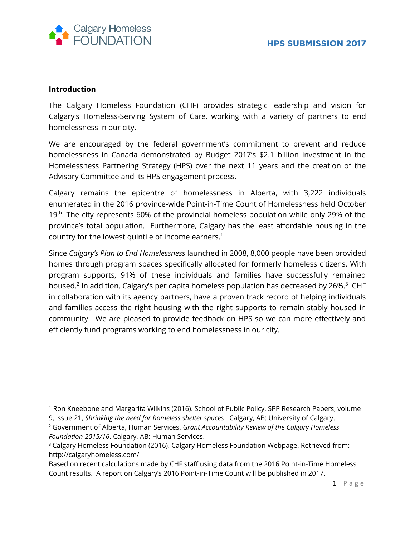

# **Introduction**

 $\overline{\phantom{a}}$ 

The Calgary Homeless Foundation (CHF) provides strategic leadership and vision for Calgary's Homeless-Serving System of Care, working with a variety of partners to end homelessness in our city.

We are encouraged by the federal government's commitment to prevent and reduce homelessness in Canada demonstrated by Budget 2017's \$2.1 billion investment in the Homelessness Partnering Strategy (HPS) over the next 11 years and the creation of the Advisory Committee and its HPS engagement process.

Calgary remains the epicentre of homelessness in Alberta, with 3,222 individuals enumerated in the 2016 province-wide Point-in-Time Count of Homelessness held October 19<sup>th</sup>. The city represents 60% of the provincial homeless population while only 29% of the province's total population. Furthermore, Calgary has the least affordable housing in the country for the lowest quintile of income earners.<sup>1</sup>

Since *Calgary's Plan to End Homelessness* launched in 2008, 8,000 people have been provided homes through program spaces specifically allocated for formerly homeless citizens. With program supports, 91% of these individuals and families have successfully remained housed. $^2$  In addition, Calgary's per capita homeless population has decreased by 26%. $^3\,$  CHF in collaboration with its agency partners, have a proven track record of helping individuals and families access the right housing with the right supports to remain stably housed in community. We are pleased to provide feedback on HPS so we can more effectively and efficiently fund programs working to end homelessness in our city.

<sup>1</sup> Ron Kneebone and Margarita Wilkins (2016). School of Public Policy, SPP Research Papers, volume

<sup>9,</sup> issue 21, *Shrinking the need for homeless shelter spaces*. Calgary, AB: University of Calgary.

<sup>2</sup> Government of Alberta, Human Services. *Grant Accountability Review of the Calgary Homeless Foundation 2015/16*. Calgary, AB: Human Services.

<sup>3</sup> Calgary Homeless Foundation (2016). Calgary Homeless Foundation Webpage. Retrieved from: http://calgaryhomeless.com/

Based on recent calculations made by CHF staff using data from the 2016 Point-in-Time Homeless Count results. A report on Calgary's 2016 Point-in-Time Count will be published in 2017.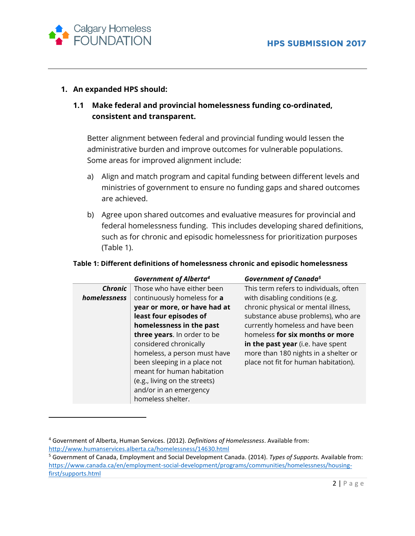

 $\overline{\phantom{a}}$ 

# **1. An expanded HPS should:**

# **1.1 Make federal and provincial homelessness funding co-ordinated, consistent and transparent.**

Better alignment between federal and provincial funding would lessen the administrative burden and improve outcomes for vulnerable populations. Some areas for improved alignment include:

- a) Align and match program and capital funding between different levels and ministries of government to ensure no funding gaps and shared outcomes are achieved.
- b) Agree upon shared outcomes and evaluative measures for provincial and federal homelessness funding. This includes developing shared definitions, such as for chronic and episodic homelessness for prioritization purposes (Table 1).

#### **Table 1: Different definitions of homelessness chronic and episodic homelessness**

|              | <b>Government of Alberta<sup>4</sup></b> | <b>Government of Canada<sup>5</sup></b> |
|--------------|------------------------------------------|-----------------------------------------|
| Chronic      | Those who have either been               | This term refers to individuals, often  |
| homelessness | continuously homeless for a              | with disabling conditions (e.g.         |
|              | year or more, or have had at             | chronic physical or mental illness,     |
|              | least four episodes of                   | substance abuse problems), who are      |
|              | homelessness in the past                 | currently homeless and have been        |
|              | three years. In order to be              | homeless for six months or more         |
|              | considered chronically                   | in the past year (i.e. have spent       |
|              | homeless, a person must have             | more than 180 nights in a shelter or    |
|              | been sleeping in a place not             | place not fit for human habitation).    |
|              | meant for human habitation               |                                         |
|              | (e.g., living on the streets)            |                                         |
|              | and/or in an emergency                   |                                         |
|              | homeless shelter.                        |                                         |

<sup>4</sup> Government of Alberta, Human Services. (2012). *Definitions of Homelessness*. Available from: <http://www.humanservices.alberta.ca/homelessness/14630.html>

<sup>5</sup> Government of Canada, Employment and Social Development Canada. (2014). *Types of Supports.* Available from: [https://www.canada.ca/en/employment-social-development/programs/communities/homelessness/housing](https://www.canada.ca/en/employment-social-development/programs/communities/homelessness/housing-first/supports.html)[first/supports.html](https://www.canada.ca/en/employment-social-development/programs/communities/homelessness/housing-first/supports.html)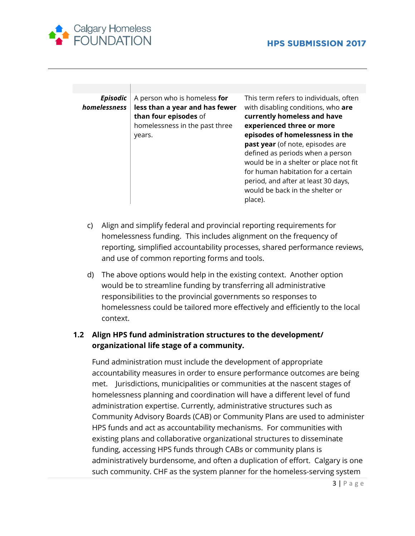

| <b>Episodic</b><br>homelessness | A person who is homeless for<br>less than a year and has fewer<br>than four episodes of<br>homelessness in the past three<br>years. | This term refers to individuals, often<br>with disabling conditions, who are<br>currently homeless and have<br>experienced three or more<br>episodes of homelessness in the<br>past year (of note, episodes are<br>defined as periods when a person<br>would be in a shelter or place not fit<br>for human habitation for a certain<br>period, and after at least 30 days,<br>would be back in the shelter or<br>place). |
|---------------------------------|-------------------------------------------------------------------------------------------------------------------------------------|--------------------------------------------------------------------------------------------------------------------------------------------------------------------------------------------------------------------------------------------------------------------------------------------------------------------------------------------------------------------------------------------------------------------------|

- c) Align and simplify federal and provincial reporting requirements for homelessness funding. This includes alignment on the frequency of reporting, simplified accountability processes, shared performance reviews, and use of common reporting forms and tools.
- d) The above options would help in the existing context. Another option would be to streamline funding by transferring all administrative responsibilities to the provincial governments so responses to homelessness could be tailored more effectively and efficiently to the local context.

# **1.2 Align HPS fund administration structures to the development/ organizational life stage of a community.**

Fund administration must include the development of appropriate accountability measures in order to ensure performance outcomes are being met. Jurisdictions, municipalities or communities at the nascent stages of homelessness planning and coordination will have a different level of fund administration expertise. Currently, administrative structures such as Community Advisory Boards (CAB) or Community Plans are used to administer HPS funds and act as accountability mechanisms. For communities with existing plans and collaborative organizational structures to disseminate funding, accessing HPS funds through CABs or community plans is administratively burdensome, and often a duplication of effort. Calgary is one such community. CHF as the system planner for the homeless-serving system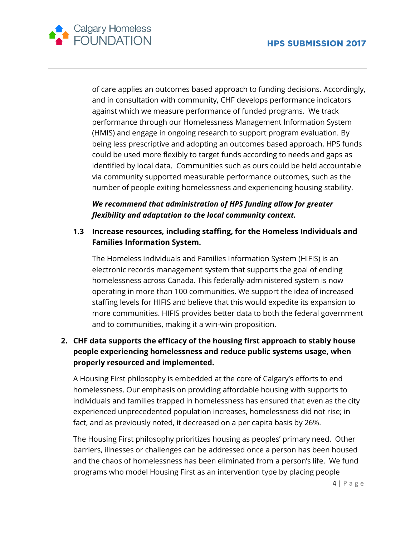

of care applies an outcomes based approach to funding decisions. Accordingly, and in consultation with community, CHF develops performance indicators against which we measure performance of funded programs. We track performance through our Homelessness Management Information System (HMIS) and engage in ongoing research to support program evaluation. By being less prescriptive and adopting an outcomes based approach, HPS funds could be used more flexibly to target funds according to needs and gaps as identified by local data. Communities such as ours could be held accountable via community supported measurable performance outcomes, such as the number of people exiting homelessness and experiencing housing stability.

*We recommend that administration of HPS funding allow for greater flexibility and adaptation to the local community context.*

# **1.3 Increase resources, including staffing, for the Homeless Individuals and Families Information System.**

The Homeless Individuals and Families Information System (HIFIS) is an electronic records management system that supports the goal of ending homelessness across Canada. This federally-administered system is now operating in more than 100 communities. We support the idea of increased staffing levels for HIFIS and believe that this would expedite its expansion to more communities. HIFIS provides better data to both the federal government and to communities, making it a win-win proposition.

# **2. CHF data supports the efficacy of the housing first approach to stably house people experiencing homelessness and reduce public systems usage, when properly resourced and implemented.**

A Housing First philosophy is embedded at the core of Calgary's efforts to end homelessness. Our emphasis on providing affordable housing with supports to individuals and families trapped in homelessness has ensured that even as the city experienced unprecedented population increases, homelessness did not rise; in fact, and as previously noted, it decreased on a per capita basis by 26%.

The Housing First philosophy prioritizes housing as peoples' primary need. Other barriers, illnesses or challenges can be addressed once a person has been housed and the chaos of homelessness has been eliminated from a person's life. We fund programs who model Housing First as an intervention type by placing people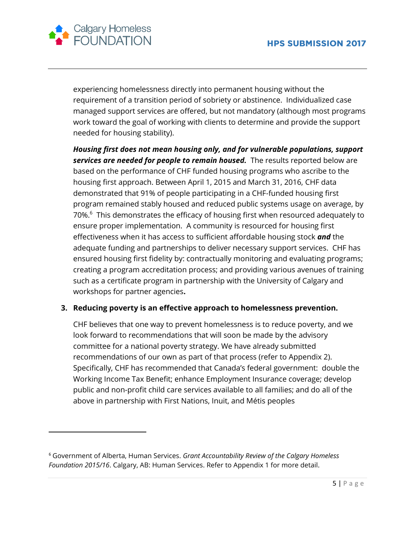

 $\overline{a}$ 

experiencing homelessness directly into permanent housing without the requirement of a transition period of sobriety or abstinence. Individualized case managed support services are offered, but not mandatory (although most programs work toward the goal of working with clients to determine and provide the support needed for housing stability).

*Housing first does not mean housing only, and for vulnerable populations, support services are needed for people to remain housed.* The results reported below are based on the performance of CHF funded housing programs who ascribe to the housing first approach. Between April 1, 2015 and March 31, 2016, CHF data demonstrated that 91% of people participating in a CHF-funded housing first program remained stably housed and reduced public systems usage on average, by 70%.<sup>6</sup> This demonstrates the efficacy of housing first when resourced adequately to ensure proper implementation. A community is resourced for housing first effectiveness when it has access to sufficient affordable housing stock *and* the adequate funding and partnerships to deliver necessary support services. CHF has ensured housing first fidelity by: contractually monitoring and evaluating programs; creating a program accreditation process; and providing various avenues of training such as a certificate program in partnership with the University of Calgary and workshops for partner agencies**.** 

# **3. Reducing poverty is an effective approach to homelessness prevention.**

CHF believes that one way to prevent homelessness is to reduce poverty, and we look forward to recommendations that will soon be made by the advisory committee for a national poverty strategy. We have already submitted recommendations of our own as part of that process (refer to Appendix 2). Specifically, CHF has recommended that Canada's federal government: double the Working Income Tax Benefit; enhance Employment Insurance coverage; develop public and non-profit child care services available to all families; and do all of the above in partnership with First Nations, Inuit, and Métis peoples

<sup>6</sup> Government of Alberta, Human Services. *Grant Accountability Review of the Calgary Homeless Foundation 2015/16*. Calgary, AB: Human Services. Refer to Appendix 1 for more detail.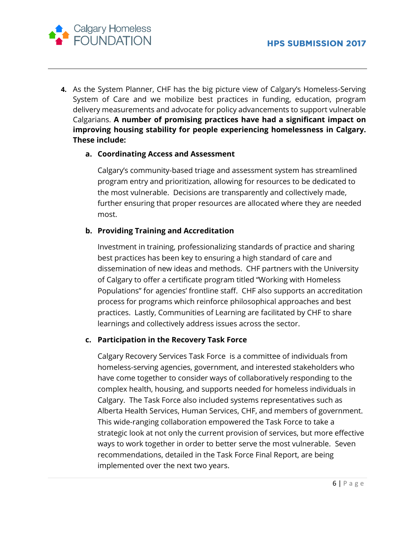

**4.** As the System Planner, CHF has the big picture view of Calgary's Homeless-Serving System of Care and we mobilize best practices in funding, education, program delivery measurements and advocate for policy advancements to support vulnerable Calgarians. **A number of promising practices have had a significant impact on improving housing stability for people experiencing homelessness in Calgary. These include:**

#### **a. Coordinating Access and Assessment**

Calgary's community-based triage and assessment system has streamlined program entry and prioritization, allowing for resources to be dedicated to the most vulnerable. Decisions are transparently and collectively made, further ensuring that proper resources are allocated where they are needed most.

#### **b. Providing Training and Accreditation**

Investment in training, professionalizing standards of practice and sharing best practices has been key to ensuring a high standard of care and dissemination of new ideas and methods. CHF partners with the University of Calgary to offer a certificate program titled "Working with Homeless Populations" for agencies' frontline staff. CHF also supports an accreditation process for programs which reinforce philosophical approaches and best practices. Lastly, Communities of Learning are facilitated by CHF to share learnings and collectively address issues across the sector.

# **c. Participation in the Recovery Task Force**

Calgary Recovery Services Task Force is a committee of individuals from homeless-serving agencies, government, and interested stakeholders who have come together to consider ways of collaboratively responding to the complex health, housing, and supports needed for homeless individuals in Calgary. The Task Force also included systems representatives such as Alberta Health Services, Human Services, CHF, and members of government. This wide-ranging collaboration empowered the Task Force to take a strategic look at not only the current provision of services, but more effective ways to work together in order to better serve the most vulnerable. Seven recommendations, detailed in the Task Force Final Report, are being implemented over the next two years.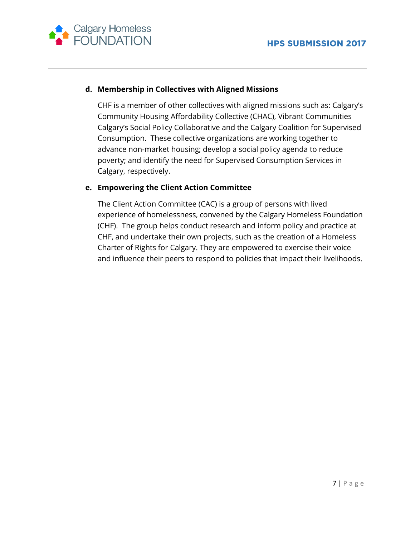

# **d. Membership in Collectives with Aligned Missions**

CHF is a member of other collectives with aligned missions such as: Calgary's Community Housing Affordability Collective (CHAC), Vibrant Communities Calgary's Social Policy Collaborative and the Calgary Coalition for Supervised Consumption. These collective organizations are working together to advance non-market housing; develop a social policy agenda to reduce poverty; and identify the need for Supervised Consumption Services in Calgary, respectively.

# **e. Empowering the Client Action Committee**

The Client Action Committee (CAC) is a group of persons with lived experience of homelessness, convened by the Calgary Homeless Foundation (CHF). The group helps conduct research and inform policy and practice at CHF, and undertake their own projects, such as the creation of a Homeless Charter of Rights for Calgary. They are empowered to exercise their voice and influence their peers to respond to policies that impact their livelihoods.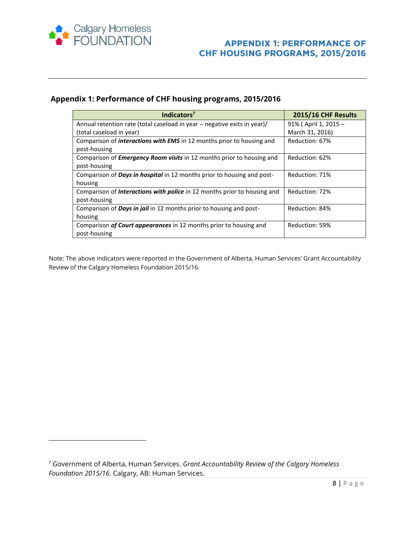

 $\overline{\phantom{a}}$ 

#### **Appendix 1: Performance of CHF housing programs, 2015/2016**

| Indicators <sup>7</sup>                                                         | 2015/16 CHF Results  |
|---------------------------------------------------------------------------------|----------------------|
| Annual retention rate (total caseload in year – negative exits in year)/        | 91% (April 1, 2015 - |
| (total caseload in year)                                                        | March 31, 2016)      |
| Comparison of <i>interactions with EMS</i> in 12 months prior to housing and    | Reduction: 67%       |
| post-housing                                                                    |                      |
| Comparison of <b>Emergency Room visits</b> in 12 months prior to housing and    | Reduction: 62%       |
| post-housing                                                                    |                      |
| Comparison of <b>Days in hospital</b> in 12 months prior to housing and post-   | Reduction: 71%       |
| housing                                                                         |                      |
| Comparison of <i>Interactions with police</i> in 12 months prior to housing and | Reduction: 72%       |
| post-housing                                                                    |                      |
| Comparison of <b>Days in jail</b> in 12 months prior to housing and post-       | Reduction: 84%       |
| housing                                                                         |                      |
| Comparison of Court appearances in 12 months prior to housing and               | Reduction: 59%       |
| post-housing                                                                    |                      |

Note: The above indicators were reported in the Government of Alberta, Human Services' Grant Accountability Review of the Calgary Homeless Foundation 2015/16.

<sup>7</sup> Government of Alberta, Human Services. *Grant Accountability Review of the Calgary Homeless Foundation 2015/16*. Calgary, AB: Human Services.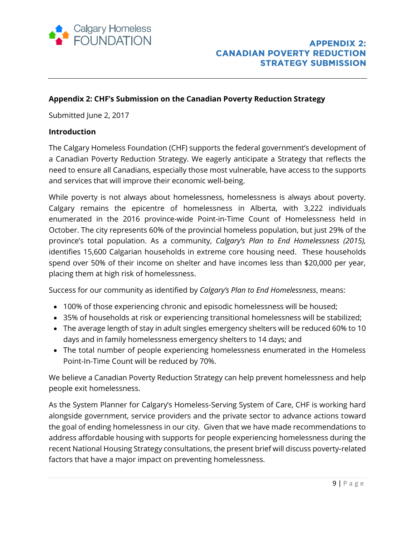

#### **Appendix 2: CHF's Submission on the Canadian Poverty Reduction Strategy**

Submitted June 2, 2017

#### **Introduction**

The Calgary Homeless Foundation (CHF) supports the federal government's development of a Canadian Poverty Reduction Strategy. We eagerly anticipate a Strategy that reflects the need to ensure all Canadians, especially those most vulnerable, have access to the supports and services that will improve their economic well-being.

While poverty is not always about homelessness, homelessness is always about poverty. Calgary remains the epicentre of homelessness in Alberta, with 3,222 individuals enumerated in the 2016 province-wide Point-in-Time Count of Homelessness held in October. The city represents 60% of the provincial homeless population, but just 29% of the province's total population. As a community, *Calgary's Plan to End Homelessness (2015),*  identifies 15,600 Calgarian households in extreme core housing need. These households spend over 50% of their income on shelter and have incomes less than \$20,000 per year, placing them at high risk of homelessness.

Success for our community as identified by *Calgary's Plan to End Homelessness*, means:

- 100% of those experiencing chronic and episodic homelessness will be housed;
- 35% of households at risk or experiencing transitional homelessness will be stabilized;
- The average length of stay in adult singles emergency shelters will be reduced 60% to 10 days and in family homelessness emergency shelters to 14 days; and
- The total number of people experiencing homelessness enumerated in the Homeless Point-In-Time Count will be reduced by 70%.

We believe a Canadian Poverty Reduction Strategy can help prevent homelessness and help people exit homelessness.

As the System Planner for Calgary's Homeless-Serving System of Care, CHF is working hard alongside government, service providers and the private sector to advance actions toward the goal of ending homelessness in our city. Given that we have made recommendations to address affordable housing with supports for people experiencing homelessness during the recent National Housing Strategy consultations, the present brief will discuss poverty-related factors that have a major impact on preventing homelessness.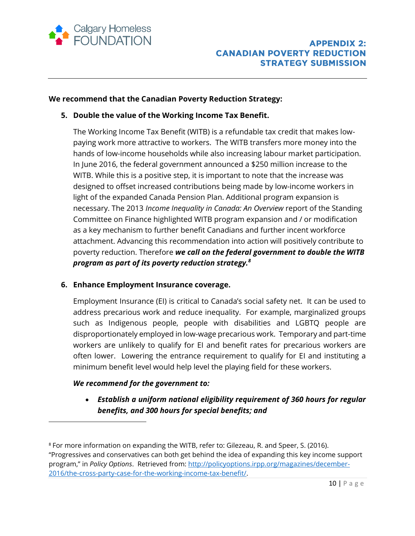

#### **We recommend that the Canadian Poverty Reduction Strategy:**

#### **5. Double the value of the Working Income Tax Benefit.**

The Working Income Tax Benefit (WITB) is a refundable tax credit that makes lowpaying work more attractive to workers. The WITB transfers more money into the hands of low-income households while also increasing labour market participation. In June 2016, the federal government announced a \$250 million increase to the WITB. While this is a positive step, it is important to note that the increase was designed to offset increased contributions being made by low-income workers in light of the expanded Canada Pension Plan. Additional program expansion is necessary. The 2013 *Income Inequality in Canada: An Overview* report of the Standing Committee on Finance highlighted WITB program expansion and / or modification as a key mechanism to further benefit Canadians and further incent workforce attachment. Advancing this recommendation into action will positively contribute to poverty reduction. Therefore *we call on the federal government to double the WITB program as part of its poverty reduction strategy.<sup>8</sup>*

# **6. Enhance Employment Insurance coverage.**

Employment Insurance (EI) is critical to Canada's social safety net. It can be used to address precarious work and reduce inequality. For example, marginalized groups such as Indigenous people, people with disabilities and LGBTQ people are disproportionately employed in low-wage precarious work. Temporary and part-time workers are unlikely to qualify for EI and benefit rates for precarious workers are often lower. Lowering the entrance requirement to qualify for EI and instituting a minimum benefit level would help level the playing field for these workers.

#### *We recommend for the government to:*

 $\overline{a}$ 

 *Establish a uniform national eligibility requirement of 360 hours for regular benefits, and 300 hours for special benefits; and*

<sup>8</sup> For more information on expanding the WITB, refer to: Gilezeau, R. and Speer, S. (2016). "Progressives and conservatives can both get behind the idea of expanding this key income support program," in *Policy Options*. Retrieved from: [http://policyoptions.irpp.org/magazines/december-](http://policyoptions.irpp.org/magazines/december-2016/the-cross-party-case-for-the-working-income-tax-benefit/)[2016/the-cross-party-case-for-the-working-income-tax-benefit/.](http://policyoptions.irpp.org/magazines/december-2016/the-cross-party-case-for-the-working-income-tax-benefit/)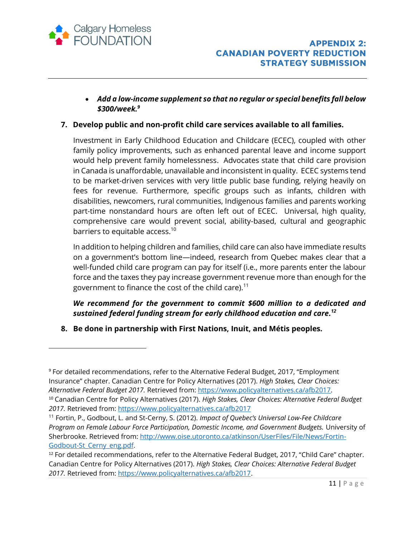

 $\overline{\phantom{a}}$ 

 *Add a low-income supplement so that no regular or special benefits fall below \$300/week.<sup>9</sup>*

# **7. Develop public and non-profit child care services available to all families.**

Investment in Early Childhood Education and Childcare (ECEC), coupled with other family policy improvements, such as enhanced parental leave and income support would help prevent family homelessness. Advocates state that child care provision in Canada is unaffordable, unavailable and inconsistent in quality. ECEC systems tend to be market-driven services with very little public base funding, relying heavily on fees for revenue. Furthermore, specific groups such as infants, children with disabilities, newcomers, rural communities, Indigenous families and parents working part-time nonstandard hours are often left out of ECEC. Universal, high quality, comprehensive care would prevent social, ability-based, cultural and geographic barriers to equitable access.<sup>10</sup>

In addition to helping children and families, child care can also have immediate results on a government's bottom line—indeed, research from Quebec makes clear that a well-funded child care program can pay for itself (i.e., more parents enter the labour force and the taxes they pay increase government revenue more than enough for the government to finance the cost of the child care).<sup>11</sup>

# *We recommend for the government to commit \$600 million to a dedicated and sustained federal funding stream for early childhood education and care. 12*

**8. Be done in partnership with First Nations, Inuit, and Métis peoples.**

<sup>9</sup> For detailed recommendations, refer to the Alternative Federal Budget, 2017, "Employment Insurance" chapter. Canadian Centre for Policy Alternatives (2017). *High Stakes, Clear Choices: Alternative Federal Budget 2017.* Retrieved from: [https://www.policyalternatives.ca/afb2017.](https://www.policyalternatives.ca/afb2017) <sup>10</sup> Canadian Centre for Policy Alternatives (2017). *High Stakes, Clear Choices: Alternative Federal Budget 2017.* Retrieved from:<https://www.policyalternatives.ca/afb2017>

<sup>11</sup> Fortin, P., Godbout, L. and St-Cerny, S. (2012). *Impact of Quebec's Universal Low-Fee Childcare Program on Female Labour Force Participation, Domestic Income, and Government Budgets.* University of Sherbrooke. Retrieved from: [http://www.oise.utoronto.ca/atkinson/UserFiles/File/News/Fortin-](http://www.oise.utoronto.ca/atkinson/UserFiles/File/News/Fortin-Godbout-St_Cerny_eng.pdf)[Godbout-St\\_Cerny\\_eng.pdf](http://www.oise.utoronto.ca/atkinson/UserFiles/File/News/Fortin-Godbout-St_Cerny_eng.pdf).

<sup>&</sup>lt;sup>12</sup> For detailed recommendations, refer to the Alternative Federal Budget, 2017, "Child Care" chapter. Canadian Centre for Policy Alternatives (2017). *High Stakes, Clear Choices: Alternative Federal Budget 2017.* Retrieved from: [https://www.policyalternatives.ca/afb2017.](https://www.policyalternatives.ca/afb2017)